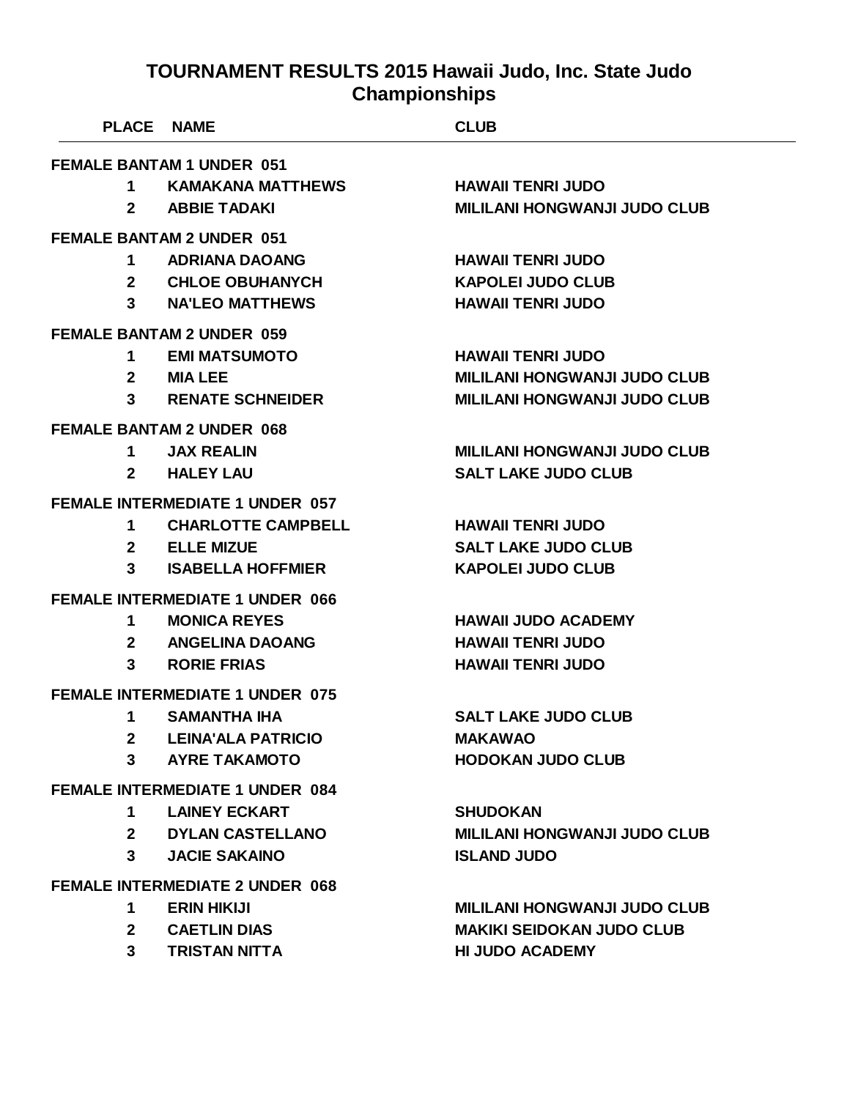| PLACE NAME       |                                        | <b>CLUB</b>                         |  |
|------------------|----------------------------------------|-------------------------------------|--|
|                  | <b>FEMALE BANTAM 1 UNDER 051</b>       |                                     |  |
| 1                | <b>KAMAKANA MATTHEWS</b>               | <b>HAWAII TENRI JUDO</b>            |  |
| $\mathbf{2}$     | <b>ABBIE TADAKI</b>                    | <b>MILILANI HONGWANJI JUDO CLUB</b> |  |
|                  | <b>FEMALE BANTAM 2 UNDER 051</b>       |                                     |  |
| 1                | <b>ADRIANA DAOANG</b>                  | <b>HAWAII TENRI JUDO</b>            |  |
|                  | 2 CHLOE OBUHANYCH                      | <b>KAPOLEI JUDO CLUB</b>            |  |
|                  | 3 NA'LEO MATTHEWS                      | <b>HAWAII TENRI JUDO</b>            |  |
|                  | <b>FEMALE BANTAM 2 UNDER 059</b>       |                                     |  |
| 1.               | <b>EMI MATSUMOTO</b>                   | <b>HAWAII TENRI JUDO</b>            |  |
| $\mathbf{2}$     | <b>MIA LEE</b>                         | <b>MILILANI HONGWANJI JUDO CLUB</b> |  |
| $3^{\circ}$      | <b>RENATE SCHNEIDER</b>                | <b>MILILANI HONGWANJI JUDO CLUB</b> |  |
|                  | <b>FEMALE BANTAM 2 UNDER 068</b>       |                                     |  |
| 1 $\blacksquare$ | <b>JAX REALIN</b>                      | <b>MILILANI HONGWANJI JUDO CLUB</b> |  |
| $\mathbf{2}$     | <b>HALEY LAU</b>                       | <b>SALT LAKE JUDO CLUB</b>          |  |
|                  | <b>FEMALE INTERMEDIATE 1 UNDER 057</b> |                                     |  |
| 1                | <b>CHARLOTTE CAMPBELL</b>              | <b>HAWAII TENRI JUDO</b>            |  |
|                  | 2 ELLE MIZUE                           | <b>SALT LAKE JUDO CLUB</b>          |  |
| 3                | <b>ISABELLA HOFFMIER</b>               | <b>KAPOLEI JUDO CLUB</b>            |  |
|                  | <b>FEMALE INTERMEDIATE 1 UNDER 066</b> |                                     |  |
| 1                | <b>MONICA REYES</b>                    | <b>HAWAII JUDO ACADEMY</b>          |  |
| $\mathbf{2}$     | <b>ANGELINA DAOANG</b>                 | <b>HAWAII TENRI JUDO</b>            |  |
| 3 <sup>1</sup>   | <b>RORIE FRIAS</b>                     | <b>HAWAII TENRI JUDO</b>            |  |
|                  | <b>FEMALE INTERMEDIATE 1 UNDER 075</b> |                                     |  |
| 1                | <b>SAMANTHA IHA</b>                    | <b>SALT LAKE JUDO CLUB</b>          |  |
| 2 <sup>1</sup>   | <b>LEINA'ALA PATRICIO</b>              | <b>MAKAWAO</b>                      |  |
| 3                | <b>AYRE TAKAMOTO</b>                   | <b>HODOKAN JUDO CLUB</b>            |  |
|                  | <b>FEMALE INTERMEDIATE 1 UNDER 084</b> |                                     |  |
| $1 \quad$        | <b>LAINEY ECKART</b>                   | <b>SHUDOKAN</b>                     |  |
|                  | 2 DYLAN CASTELLANO                     | <b>MILILANI HONGWANJI JUDO CLUB</b> |  |
| $3^{\circ}$      | <b>JACIE SAKAINO</b>                   | <b>ISLAND JUDO</b>                  |  |
|                  | <b>FEMALE INTERMEDIATE 2 UNDER 068</b> |                                     |  |
| 1.               | <b>ERIN HIKIJI</b>                     | <b>MILILANI HONGWANJI JUDO CLUB</b> |  |
| $2^{\sim}$       | <b>CAETLIN DIAS</b>                    | <b>MAKIKI SEIDOKAN JUDO CLUB</b>    |  |
| $3^{\circ}$      | <b>TRISTAN NITTA</b>                   | <b>HI JUDO ACADEMY</b>              |  |
|                  |                                        |                                     |  |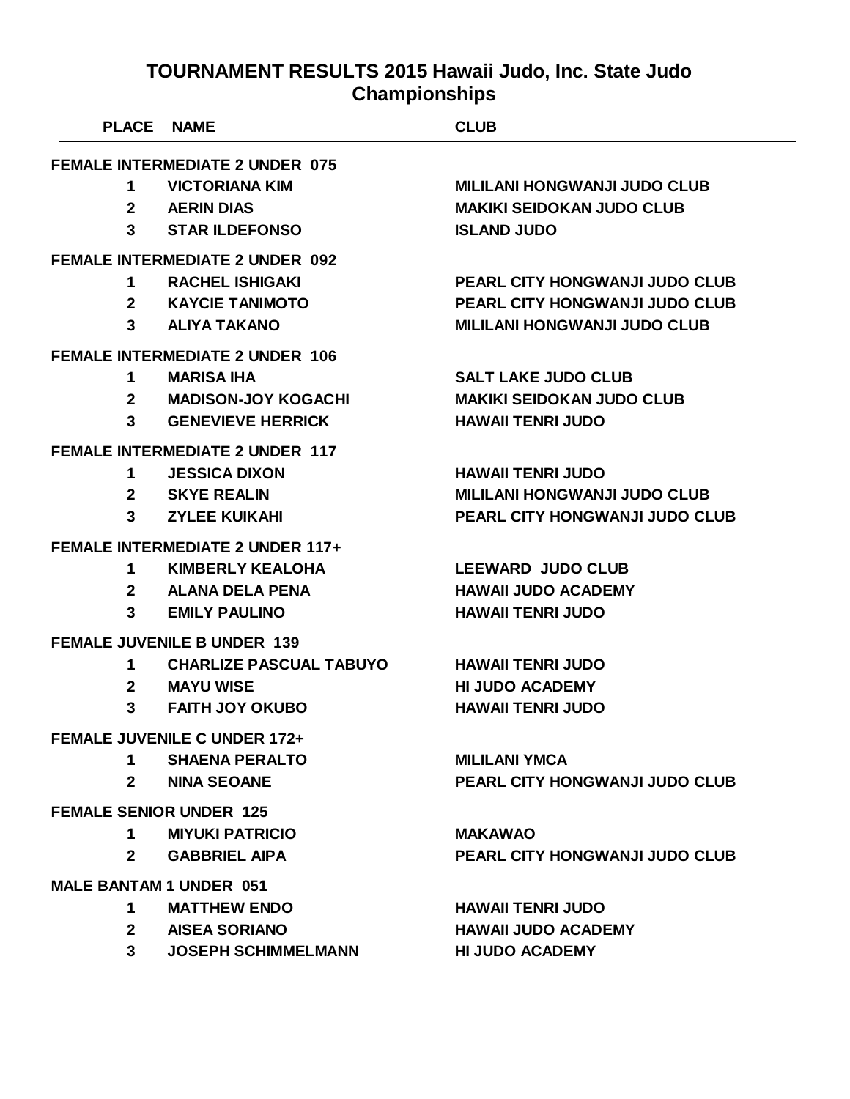| <b>PLACE NAME</b>              |                                         | <b>CLUB</b>                           |
|--------------------------------|-----------------------------------------|---------------------------------------|
|                                | <b>FEMALE INTERMEDIATE 2 UNDER 075</b>  |                                       |
| $\mathbf 1$                    | <b>VICTORIANA KIM</b>                   | <b>MILILANI HONGWANJI JUDO CLUB</b>   |
|                                | 2 AERIN DIAS                            | <b>MAKIKI SEIDOKAN JUDO CLUB</b>      |
|                                | 3 STAR ILDEFONSO                        | <b>ISLAND JUDO</b>                    |
|                                | <b>FEMALE INTERMEDIATE 2 UNDER 092</b>  |                                       |
| $\mathbf 1$                    | <b>RACHEL ISHIGAKI</b>                  | <b>PEARL CITY HONGWANJI JUDO CLUB</b> |
|                                | 2 KAYCIE TANIMOTO                       | <b>PEARL CITY HONGWANJI JUDO CLUB</b> |
|                                | 3 ALIYA TAKANO                          | <b>MILILANI HONGWANJI JUDO CLUB</b>   |
|                                | <b>FEMALE INTERMEDIATE 2 UNDER 106</b>  |                                       |
| 1                              | <b>MARISA IHA</b>                       | <b>SALT LAKE JUDO CLUB</b>            |
|                                | 2 MADISON-JOY KOGACHI                   | <b>MAKIKI SEIDOKAN JUDO CLUB</b>      |
| $3^{\circ}$                    | <b>GENEVIEVE HERRICK</b>                | <b>HAWAII TENRI JUDO</b>              |
|                                | <b>FEMALE INTERMEDIATE 2 UNDER 117</b>  |                                       |
| $\mathbf 1$                    | <b>JESSICA DIXON</b>                    | <b>HAWAII TENRI JUDO</b>              |
|                                | 2 SKYE REALIN                           | <b>MILILANI HONGWANJI JUDO CLUB</b>   |
|                                | 3 ZYLEE KUIKAHI                         | <b>PEARL CITY HONGWANJI JUDO CLUB</b> |
|                                | <b>FEMALE INTERMEDIATE 2 UNDER 117+</b> |                                       |
| $\mathbf 1$                    | <b>KIMBERLY KEALOHA</b>                 | <b>LEEWARD JUDO CLUB</b>              |
|                                | 2 ALANA DELA PENA                       | <b>HAWAII JUDO ACADEMY</b>            |
| $3^{\circ}$                    | <b>EMILY PAULINO</b>                    | <b>HAWAII TENRI JUDO</b>              |
|                                | <b>FEMALE JUVENILE B UNDER 139</b>      |                                       |
| $1 \quad$                      | <b>CHARLIZE PASCUAL TABUYO</b>          | <b>HAWAII TENRI JUDO</b>              |
| $\mathbf{2}$                   | <b>MAYU WISE</b>                        | <b>HI JUDO ACADEMY</b>                |
| $3^{\circ}$                    | <b>FAITH JOY OKUBO</b>                  | <b>HAWAII TENRI JUDO</b>              |
|                                | <b>FEMALE JUVENILE C UNDER 172+</b>     |                                       |
| 1.                             | <b>SHAENA PERALTO</b>                   | <b>MILILANI YMCA</b>                  |
| $2^{\circ}$                    | <b>NINA SEOANE</b>                      | PEARL CITY HONGWANJI JUDO CLUB        |
|                                | <b>FEMALE SENIOR UNDER 125</b>          |                                       |
| 1                              | <b>MIYUKI PATRICIO</b>                  | <b>MAKAWAO</b>                        |
| $\mathbf{2}$                   | <b>GABBRIEL AIPA</b>                    | <b>PEARL CITY HONGWANJI JUDO CLUB</b> |
| <b>MALE BANTAM 1 UNDER 051</b> |                                         |                                       |
| 1                              | <b>MATTHEW ENDO</b>                     | <b>HAWAII TENRI JUDO</b>              |
|                                | 2 AISEA SORIANO                         | <b>HAWAII JUDO ACADEMY</b>            |
| 3 <sup>1</sup>                 | <b>JOSEPH SCHIMMELMANN</b>              | <b>HI JUDO ACADEMY</b>                |
|                                |                                         |                                       |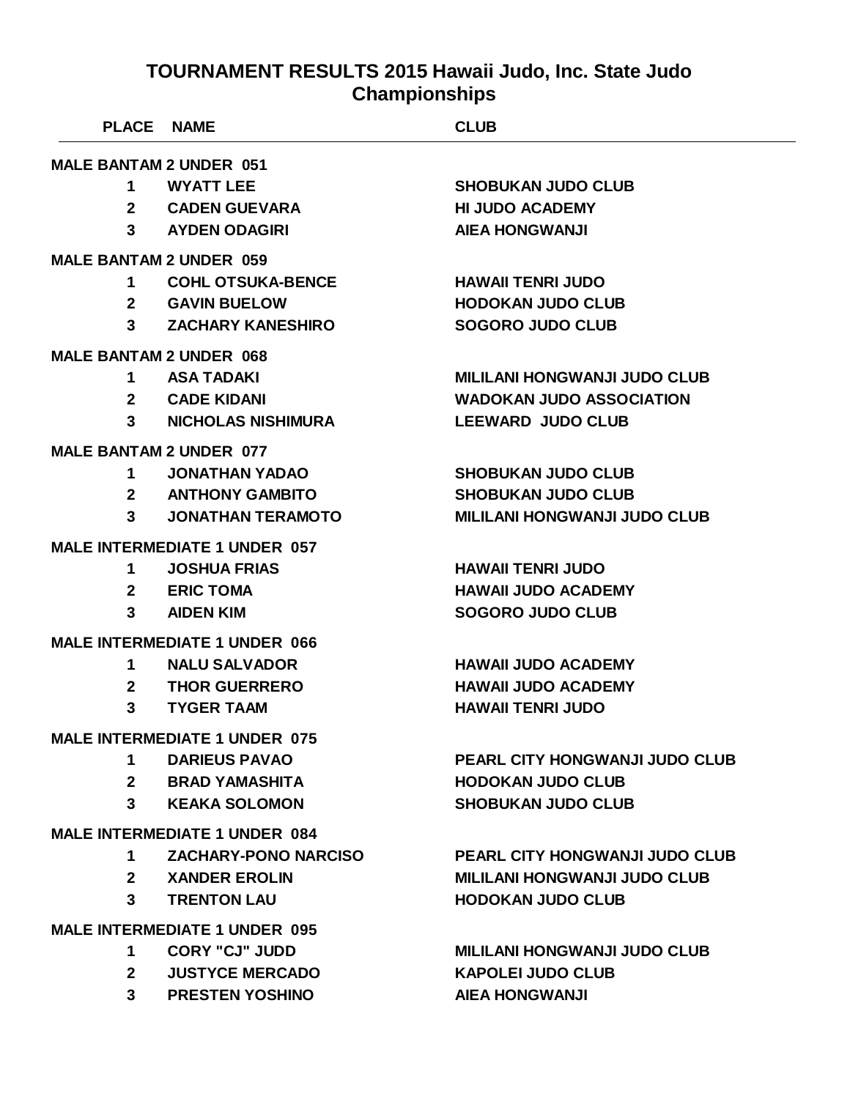|                | <b>PLACE NAME</b>                    | <b>CLUB</b>                           |
|----------------|--------------------------------------|---------------------------------------|
|                | <b>MALE BANTAM 2 UNDER 051</b>       |                                       |
| 1              | <b>WYATT LEE</b>                     | <b>SHOBUKAN JUDO CLUB</b>             |
| 2 <sup>1</sup> | <b>CADEN GUEVARA</b>                 | <b>HI JUDO ACADEMY</b>                |
|                | 3 AYDEN ODAGIRI                      | <b>AIEA HONGWANJI</b>                 |
|                | <b>MALE BANTAM 2 UNDER 059</b>       |                                       |
| $\mathbf 1$    | <b>COHL OTSUKA-BENCE</b>             | <b>HAWAII TENRI JUDO</b>              |
|                | 2 GAVIN BUELOW                       | <b>HODOKAN JUDO CLUB</b>              |
| $3^{\circ}$    | <b>ZACHARY KANESHIRO</b>             | <b>SOGORO JUDO CLUB</b>               |
|                | <b>MALE BANTAM 2 UNDER 068</b>       |                                       |
| $\mathbf 1$    | <b>ASA TADAKI</b>                    | <b>MILILANI HONGWANJI JUDO CLUB</b>   |
|                | 2 CADE KIDANI                        | <b>WADOKAN JUDO ASSOCIATION</b>       |
| $3^{\circ}$    | <b>NICHOLAS NISHIMURA</b>            | <b>LEEWARD JUDO CLUB</b>              |
|                | <b>MALE BANTAM 2 UNDER 077</b>       |                                       |
| $\mathbf 1$    | <b>JONATHAN YADAO</b>                | <b>SHOBUKAN JUDO CLUB</b>             |
|                | 2 ANTHONY GAMBITO                    | <b>SHOBUKAN JUDO CLUB</b>             |
| 3 <sup>1</sup> | <b>JONATHAN TERAMOTO</b>             | <b>MILILANI HONGWANJI JUDO CLUB</b>   |
|                | <b>MALE INTERMEDIATE 1 UNDER 057</b> |                                       |
| 1              | <b>JOSHUA FRIAS</b>                  | <b>HAWAII TENRI JUDO</b>              |
|                | 2 ERIC TOMA                          | <b>HAWAII JUDO ACADEMY</b>            |
| 3              | <b>AIDEN KIM</b>                     | <b>SOGORO JUDO CLUB</b>               |
|                | <b>MALE INTERMEDIATE 1 UNDER 066</b> |                                       |
| $\mathbf 1$    | <b>NALU SALVADOR</b>                 | <b>HAWAII JUDO ACADEMY</b>            |
| $\mathbf{2}$   | <b>THOR GUERRERO</b>                 | <b>HAWAII JUDO ACADEMY</b>            |
| 3              | <b>TYGER TAAM</b>                    | <b>HAWAII TENRI JUDO</b>              |
|                | <b>MALE INTERMEDIATE 1 UNDER 075</b> |                                       |
| 1              | <b>DARIEUS PAVAO</b>                 | <b>PEARL CITY HONGWANJI JUDO CLUB</b> |
| $2^{\sim}$     | <b>BRAD YAMASHITA</b>                | <b>HODOKAN JUDO CLUB</b>              |
| $3^{\circ}$    | <b>KEAKA SOLOMON</b>                 | <b>SHOBUKAN JUDO CLUB</b>             |
|                | <b>MALE INTERMEDIATE 1 UNDER 084</b> |                                       |
| $1 \quad$      | <b>ZACHARY-PONO NARCISO</b>          | PEARL CITY HONGWANJI JUDO CLUB        |
|                | 2 XANDER EROLIN                      | <b>MILILANI HONGWANJI JUDO CLUB</b>   |
| 3 <sup>1</sup> | <b>TRENTON LAU</b>                   | <b>HODOKAN JUDO CLUB</b>              |
|                | <b>MALE INTERMEDIATE 1 UNDER 095</b> |                                       |
| $\mathbf 1$    | <b>CORY "CJ" JUDD</b>                | <b>MILILANI HONGWANJI JUDO CLUB</b>   |
| $2^{\circ}$    | <b>JUSTYCE MERCADO</b>               | <b>KAPOLEI JUDO CLUB</b>              |
|                | 3 PRESTEN YOSHINO                    | <b>AIEA HONGWANJI</b>                 |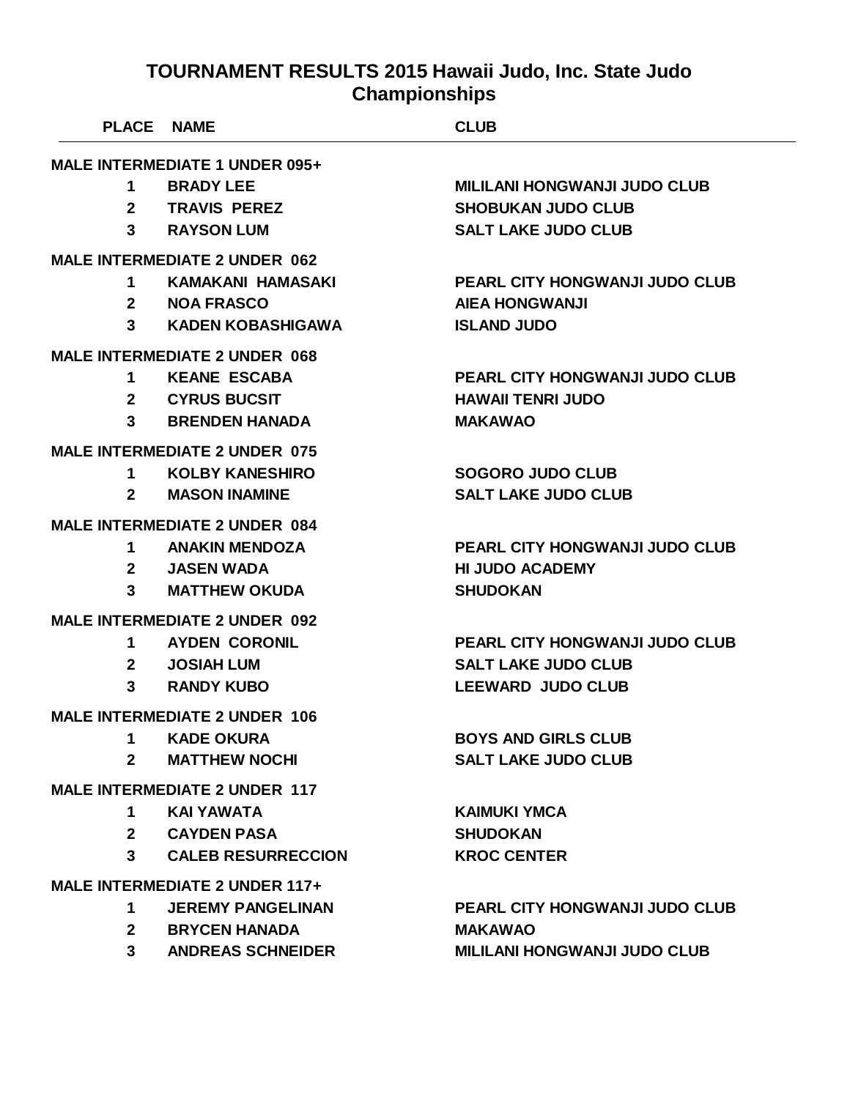| <b>PLACE</b> | <b>NAME</b>                           | <b>CLUB</b>                           |
|--------------|---------------------------------------|---------------------------------------|
|              | <b>MALE INTERMEDIATE 1 UNDER 095+</b> |                                       |
| 1            | <b>BRADY LEE</b>                      | <b>MILILANI HONGWANJI JUDO CLUB</b>   |
| $\mathbf{2}$ | <b>TRAVIS PEREZ</b>                   | <b>SHOBUKAN JUDO CLUB</b>             |
| 3            | <b>RAYSON LUM</b>                     | <b>SALT LAKE JUDO CLUB</b>            |
|              | <b>MALE INTERMEDIATE 2 UNDER 062</b>  |                                       |
| 1            | <b>KAMAKANI HAMASAKI</b>              | PEARL CITY HONGWANJI JUDO CLUB        |
| $\mathbf{2}$ | <b>NOA FRASCO</b>                     | <b>AIEA HONGWANJI</b>                 |
| 3            | <b>KADEN KOBASHIGAWA</b>              | <b>ISLAND JUDO</b>                    |
|              | <b>MALE INTERMEDIATE 2 UNDER 068</b>  |                                       |
| 1            | <b>KEANE ESCABA</b>                   | <b>PEARL CITY HONGWANJI JUDO CLUB</b> |
| $\mathbf{2}$ | <b>CYRUS BUCSIT</b>                   | <b>HAWAII TENRI JUDO</b>              |
| 3            | <b>BRENDEN HANADA</b>                 | <b>MAKAWAO</b>                        |
|              | <b>MALE INTERMEDIATE 2 UNDER 075</b>  |                                       |
| 1            | <b>KOLBY KANESHIRO</b>                | <b>SOGORO JUDO CLUB</b>               |
| 2            | <b>MASON INAMINE</b>                  | <b>SALT LAKE JUDO CLUB</b>            |
|              | <b>MALE INTERMEDIATE 2 UNDER 084</b>  |                                       |
| 1            | <b>ANAKIN MENDOZA</b>                 | PEARL CITY HONGWANJI JUDO CLUB        |
| $\mathbf{2}$ | <b>JASEN WADA</b>                     | <b>HI JUDO ACADEMY</b>                |
| 3            | <b>MATTHEW OKUDA</b>                  | <b>SHUDOKAN</b>                       |
|              | <b>MALE INTERMEDIATE 2 UNDER 092</b>  |                                       |
| 1.           | <b>AYDEN CORONIL</b>                  | PEARL CITY HONGWANJI JUDO CLUB        |
| $\mathbf{2}$ | <b>JOSIAH LUM</b>                     | <b>SALT LAKE JUDO CLUB</b>            |
| 3            | <b>RANDY KUBO</b>                     | <b>LEEWARD JUDO CLUB</b>              |
|              | <b>MALE INTERMEDIATE 2 UNDER 106</b>  |                                       |
| 1            | <b>KADE OKURA</b>                     | <b>BOYS AND GIRLS CLUB</b>            |
| $\mathbf{2}$ | <b>MATTHEW NOCHI</b>                  | <b>SALT LAKE JUDO CLUB</b>            |
|              | <b>MALE INTERMEDIATE 2 UNDER 117</b>  |                                       |
| 1            | KAI YAWATA                            | <b>KAIMUKI YMCA</b>                   |
| $\mathbf{2}$ | <b>CAYDEN PASA</b>                    | <b>SHUDOKAN</b>                       |
| 3            | <b>CALEB RESURRECCION</b>             | <b>KROC CENTER</b>                    |
|              | <b>MALE INTERMEDIATE 2 UNDER 117+</b> |                                       |
| 1            | <b>JEREMY PANGELINAN</b>              | <b>PEARL CITY HONGWANJI JUDO CLUB</b> |
| $\mathbf{2}$ | <b>BRYCEN HANADA</b>                  | <b>MAKAWAO</b>                        |
| $\mathbf{3}$ | <b>ANDREAS SCHNEIDER</b>              | <b>MILILANI HONGWANJI JUDO CLUB</b>   |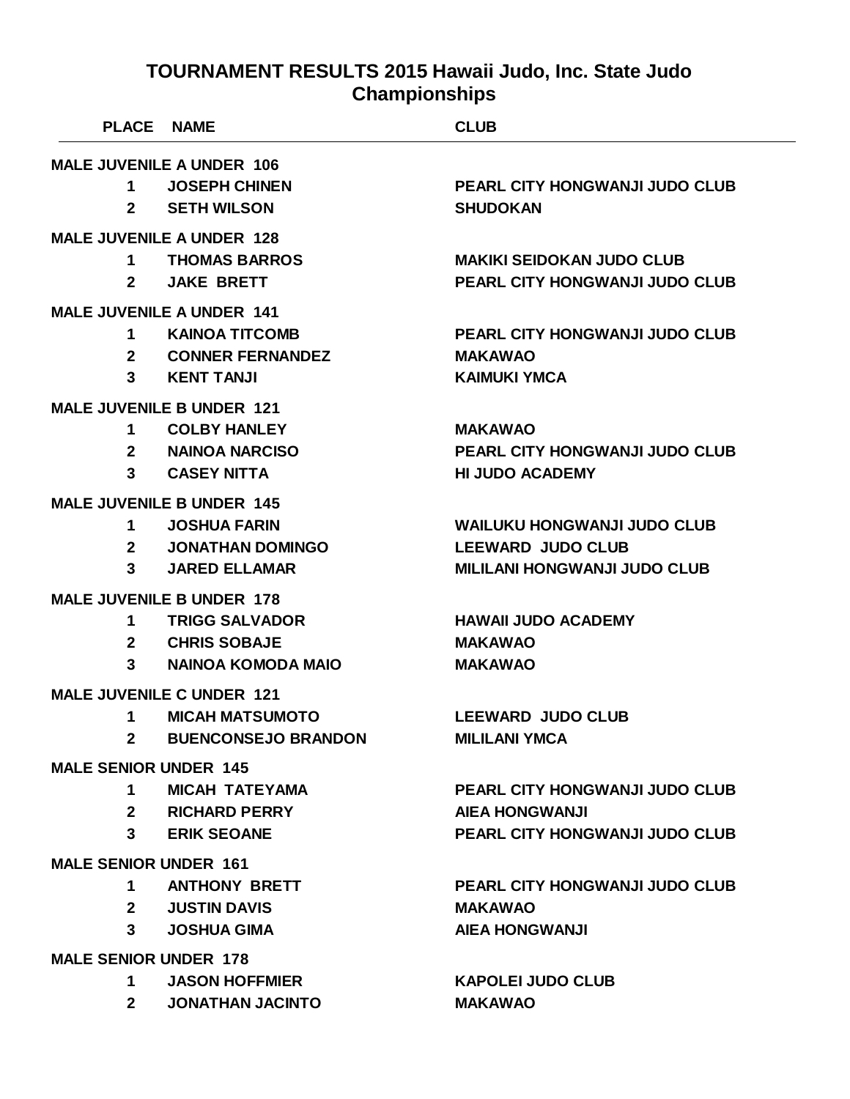| <b>PLACE</b>                     |                                  | <b>NAME</b>                      | <b>CLUB</b>                           |
|----------------------------------|----------------------------------|----------------------------------|---------------------------------------|
| <b>MALE JUVENILE A UNDER 106</b> |                                  |                                  |                                       |
| 1                                |                                  | <b>JOSEPH CHINEN</b>             | <b>PEARL CITY HONGWANJI JUDO CLUB</b> |
| $\mathbf{2}$                     |                                  | <b>SETH WILSON</b>               | <b>SHUDOKAN</b>                       |
|                                  |                                  | <b>MALE JUVENILE A UNDER 128</b> |                                       |
| 1                                |                                  | <b>THOMAS BARROS</b>             | <b>MAKIKI SEIDOKAN JUDO CLUB</b>      |
| $\mathbf{2}$                     |                                  | <b>JAKE BRETT</b>                | <b>PEARL CITY HONGWANJI JUDO CLUB</b> |
|                                  | <b>MALE JUVENILE A UNDER 141</b> |                                  |                                       |
| 1                                |                                  | <b>KAINOA TITCOMB</b>            | PEARL CITY HONGWANJI JUDO CLUB        |
| $\mathbf{2}$                     |                                  | <b>CONNER FERNANDEZ</b>          | <b>MAKAWAO</b>                        |
| 3                                |                                  | <b>KENT TANJI</b>                | <b>KAIMUKI YMCA</b>                   |
|                                  |                                  | <b>MALE JUVENILE B UNDER 121</b> |                                       |
| 1                                |                                  | <b>COLBY HANLEY</b>              | <b>MAKAWAO</b>                        |
| $\mathbf{2}$                     |                                  | <b>NAINOA NARCISO</b>            | PEARL CITY HONGWANJI JUDO CLUB        |
| 3                                |                                  | <b>CASEY NITTA</b>               | <b>HI JUDO ACADEMY</b>                |
|                                  |                                  | <b>MALE JUVENILE B UNDER 145</b> |                                       |
| 1                                |                                  | <b>JOSHUA FARIN</b>              | <b>WAILUKU HONGWANJI JUDO CLUB</b>    |
| $\mathbf{2}$                     |                                  | <b>JONATHAN DOMINGO</b>          | <b>LEEWARD JUDO CLUB</b>              |
| 3                                |                                  | <b>JARED ELLAMAR</b>             | <b>MILILANI HONGWANJI JUDO CLUB</b>   |
|                                  |                                  | <b>MALE JUVENILE B UNDER 178</b> |                                       |
| 1                                |                                  | <b>TRIGG SALVADOR</b>            | <b>HAWAII JUDO ACADEMY</b>            |
| 2 <sup>1</sup>                   |                                  | <b>CHRIS SOBAJE</b>              | <b>MAKAWAO</b>                        |
| 3                                |                                  | <b>NAINOA KOMODA MAIO</b>        | <b>MAKAWAO</b>                        |
|                                  |                                  | <b>MALE JUVENILE C UNDER 121</b> |                                       |
| 1                                |                                  | <b>MICAH MATSUMOTO</b>           | <b>LEEWARD JUDO CLUB</b>              |
| $\mathbf{2}$                     |                                  | <b>BUENCONSEJO BRANDON</b>       | <b>MILILANI YMCA</b>                  |
| <b>MALE SENIOR UNDER 145</b>     |                                  |                                  |                                       |
|                                  | 1                                | <b>MICAH TATEYAMA</b>            | PEARL CITY HONGWANJI JUDO CLUB        |
|                                  | $\mathbf{2}$                     | <b>RICHARD PERRY</b>             | <b>AIEA HONGWANJI</b>                 |
|                                  | $3^{\circ}$                      | <b>ERIK SEOANE</b>               | <b>PEARL CITY HONGWANJI JUDO CLUB</b> |
| <b>MALE SENIOR UNDER 161</b>     |                                  |                                  |                                       |
|                                  | 1                                | <b>ANTHONY BRETT</b>             | <b>PEARL CITY HONGWANJI JUDO CLUB</b> |
|                                  | $2^{\circ}$                      | <b>JUSTIN DAVIS</b>              | <b>MAKAWAO</b>                        |
|                                  | $\mathbf{3}$                     | <b>JOSHUA GIMA</b>               | <b>AIEA HONGWANJI</b>                 |
| <b>MALE SENIOR UNDER 178</b>     |                                  |                                  |                                       |

- **JASON HOFFMIER KAPOLEI JUDO CLUB**
- **JONATHAN JACINTO MAKAWAO**